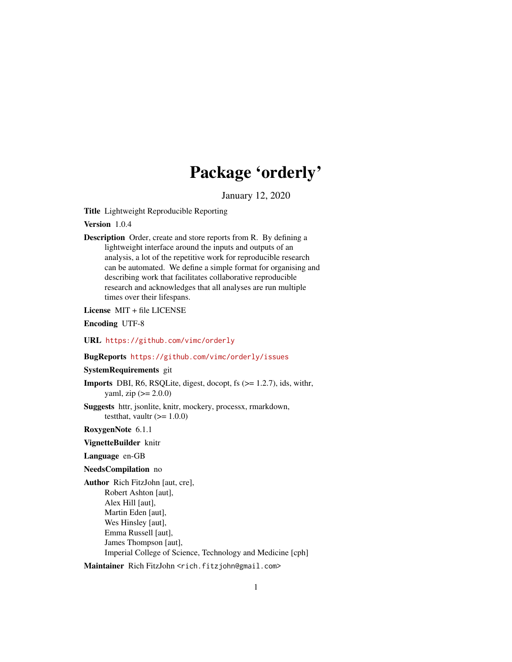# Package 'orderly'

January 12, 2020

Title Lightweight Reproducible Reporting

Version 1.0.4

Description Order, create and store reports from R. By defining a lightweight interface around the inputs and outputs of an analysis, a lot of the repetitive work for reproducible research can be automated. We define a simple format for organising and describing work that facilitates collaborative reproducible research and acknowledges that all analyses are run multiple times over their lifespans.

License MIT + file LICENSE

Encoding UTF-8

URL <https://github.com/vimc/orderly>

BugReports <https://github.com/vimc/orderly/issues>

SystemRequirements git

**Imports** DBI, R6, RSQLite, digest, docopt, fs  $(>= 1.2.7)$ , ids, with r, yaml, zip  $(>= 2.0.0)$ 

Suggests httr, jsonlite, knitr, mockery, processx, rmarkdown, testthat, vaultr  $(>= 1.0.0)$ 

RoxygenNote 6.1.1

VignetteBuilder knitr

Language en-GB

NeedsCompilation no

Author Rich FitzJohn [aut, cre], Robert Ashton [aut], Alex Hill [aut], Martin Eden [aut], Wes Hinsley [aut], Emma Russell [aut], James Thompson [aut], Imperial College of Science, Technology and Medicine [cph]

Maintainer Rich FitzJohn <rich.fitzjohn@gmail.com>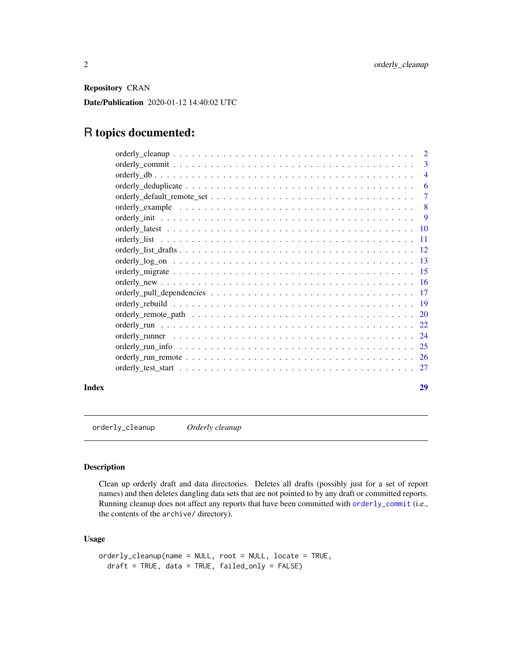<span id="page-1-0"></span>Repository CRAN

Date/Publication 2020-01-12 14:40:02 UTC

## R topics documented:

|  | $\overline{2}$           |
|--|--------------------------|
|  | 3                        |
|  | $\overline{\mathcal{A}}$ |
|  | 6                        |
|  | 7                        |
|  | -8                       |
|  | 9                        |
|  |                          |
|  | -11                      |
|  |                          |
|  | -13                      |
|  |                          |
|  |                          |
|  |                          |
|  |                          |
|  | 20                       |
|  | 22                       |
|  | 24                       |
|  | 25                       |
|  | <sup>26</sup>            |
|  | 27                       |
|  |                          |

#### **Index** [29](#page-28-0)

orderly\_cleanup *Orderly cleanup*

## Description

Clean up orderly draft and data directories. Deletes all drafts (possibly just for a set of report names) and then deletes dangling data sets that are not pointed to by any draft or committed reports. Running cleanup does not affect any reports that have been committed with [orderly\\_commit](#page-2-1) (i.e., the contents of the archive/ directory).

## Usage

```
orderly_cleanup(name = NULL, root = NULL, locate = TRUE,
 draft = TRUE, data = TRUE, failed_only = FALSE)
```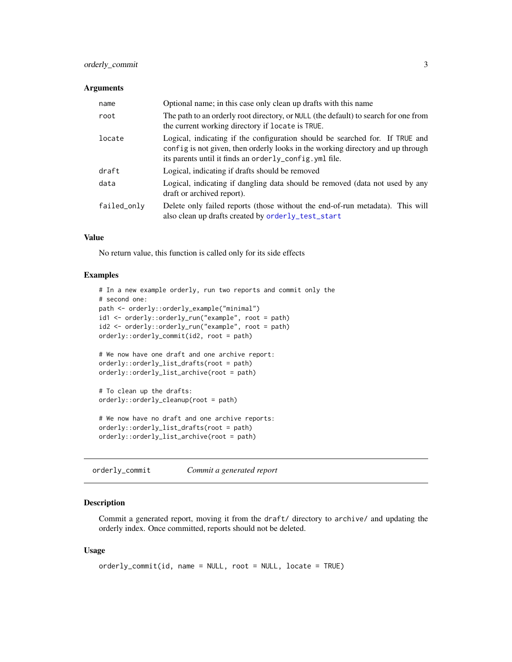## <span id="page-2-0"></span>orderly\_commit 3

#### **Arguments**

| name        | Optional name; in this case only clean up drafts with this name                                                                                                                                                            |
|-------------|----------------------------------------------------------------------------------------------------------------------------------------------------------------------------------------------------------------------------|
| root        | The path to an orderly root directory, or NULL (the default) to search for one from<br>the current working directory if locate is TRUE.                                                                                    |
| locate      | Logical, indicating if the configuration should be searched for. If TRUE and<br>config is not given, then orderly looks in the working directory and up through<br>its parents until it finds an orderly_config. yml file. |
| draft       | Logical, indicating if drafts should be removed                                                                                                                                                                            |
| data        | Logical, indicating if dangling data should be removed (data not used by any<br>draft or archived report).                                                                                                                 |
| failed_only | Delete only failed reports (those without the end-of-run metadata). This will<br>also clean up drafts created by orderly_test_start                                                                                        |

## Value

No return value, this function is called only for its side effects

## Examples

```
# In a new example orderly, run two reports and commit only the
# second one:
path <- orderly::orderly_example("minimal")
id1 <- orderly::orderly_run("example", root = path)
id2 <- orderly::orderly_run("example", root = path)
orderly::orderly_commit(id2, root = path)
# We now have one draft and one archive report:
orderly::orderly_list_drafts(root = path)
orderly::orderly_list_archive(root = path)
# To clean up the drafts:
orderly::orderly_cleanup(root = path)
# We now have no draft and one archive reports:
orderly::orderly_list_drafts(root = path)
orderly::orderly_list_archive(root = path)
```
<span id="page-2-1"></span>orderly\_commit *Commit a generated report*

#### Description

Commit a generated report, moving it from the draft/ directory to archive/ and updating the orderly index. Once committed, reports should not be deleted.

## Usage

```
orderly_commit(id, name = NULL, root = NULL, locate = TRUE)
```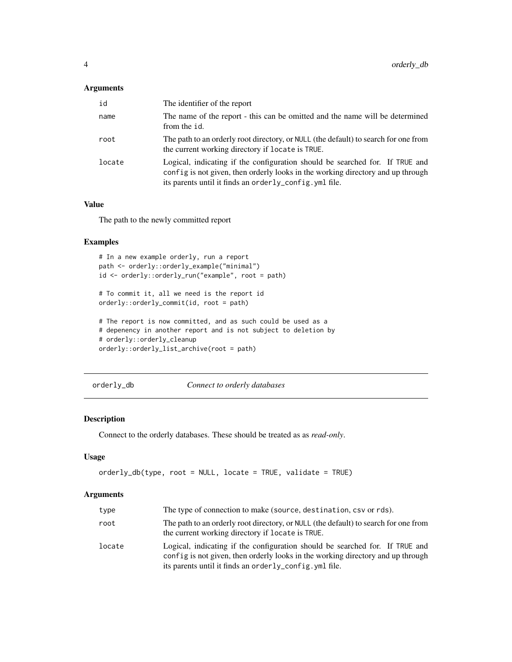## <span id="page-3-0"></span>Arguments

| id     | The identifier of the report                                                                                                                                                                                               |
|--------|----------------------------------------------------------------------------------------------------------------------------------------------------------------------------------------------------------------------------|
| name   | The name of the report - this can be omitted and the name will be determined<br>from the id.                                                                                                                               |
| root   | The path to an orderly root directory, or NULL (the default) to search for one from<br>the current working directory if locate is TRUE.                                                                                    |
| locate | Logical, indicating if the configuration should be searched for. If TRUE and<br>config is not given, then orderly looks in the working directory and up through<br>its parents until it finds an orderly_config. yml file. |

## Value

The path to the newly committed report

## Examples

```
# In a new example orderly, run a report
path <- orderly::orderly_example("minimal")
id <- orderly::orderly_run("example", root = path)
# To commit it, all we need is the report id
orderly::orderly_commit(id, root = path)
# The report is now committed, and as such could be used as a
# depenency in another report and is not subject to deletion by
# orderly::orderly_cleanup
orderly::orderly_list_archive(root = path)
```
orderly\_db *Connect to orderly databases*

## Description

Connect to the orderly databases. These should be treated as as *read-only*.

## Usage

```
orderly_db(type, root = NULL, locate = TRUE, validate = TRUE)
```

| type   | The type of connection to make (source, destination, csv or rds).                                                                                                                                                         |
|--------|---------------------------------------------------------------------------------------------------------------------------------------------------------------------------------------------------------------------------|
| root   | The path to an orderly root directory, or NULL (the default) to search for one from<br>the current working directory if locate is TRUE.                                                                                   |
| locate | Logical, indicating if the configuration should be searched for. If TRUE and<br>config is not given, then orderly looks in the working directory and up through<br>its parents until it finds an orderly_config.yml file. |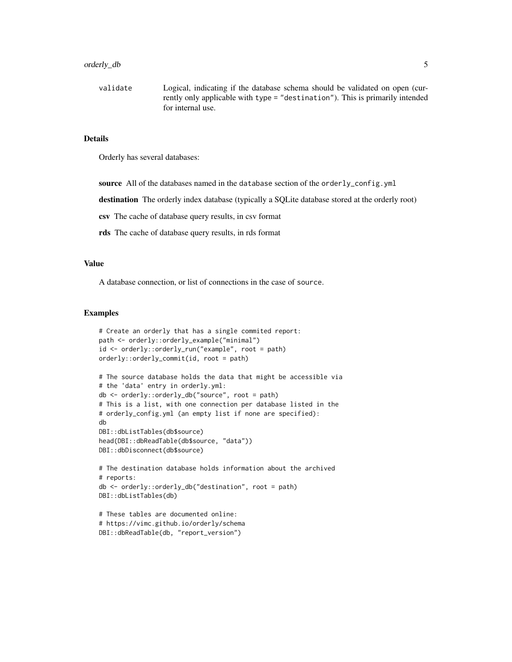#### orderly\_db 5

validate Logical, indicating if the database schema should be validated on open (currently only applicable with type = "destination"). This is primarily intended for internal use.

## Details

Orderly has several databases:

source All of the databases named in the database section of the orderly\_config.yml

destination The orderly index database (typically a SQLite database stored at the orderly root)

csv The cache of database query results, in csv format

rds The cache of database query results, in rds format

## Value

A database connection, or list of connections in the case of source.

#### Examples

```
# Create an orderly that has a single commited report:
path <- orderly::orderly_example("minimal")
id <- orderly::orderly_run("example", root = path)
orderly::orderly_commit(id, root = path)
# The source database holds the data that might be accessible via
# the 'data' entry in orderly.yml:
db <- orderly::orderly_db("source", root = path)
# This is a list, with one connection per database listed in the
# orderly_config.yml (an empty list if none are specified):
db
DBI::dbListTables(db$source)
head(DBI::dbReadTable(db$source, "data"))
DBI::dbDisconnect(db$source)
# The destination database holds information about the archived
# reports:
db <- orderly::orderly_db("destination", root = path)
DBI::dbListTables(db)
# These tables are documented online:
# https://vimc.github.io/orderly/schema
DBI::dbReadTable(db, "report_version")
```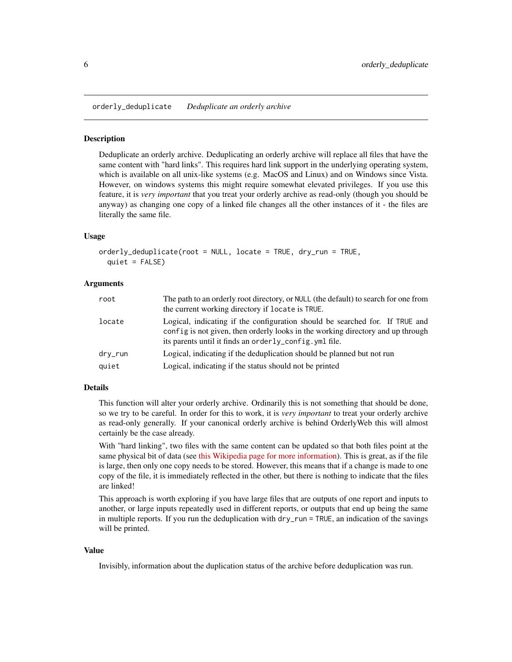<span id="page-5-0"></span>orderly\_deduplicate *Deduplicate an orderly archive*

## **Description**

Deduplicate an orderly archive. Deduplicating an orderly archive will replace all files that have the same content with "hard links". This requires hard link support in the underlying operating system, which is available on all unix-like systems (e.g. MacOS and Linux) and on Windows since Vista. However, on windows systems this might require somewhat elevated privileges. If you use this feature, it is *very important* that you treat your orderly archive as read-only (though you should be anyway) as changing one copy of a linked file changes all the other instances of it - the files are literally the same file.

## Usage

```
orderly_deduplicate(root = NULL, locate = TRUE, dry_run = TRUE,
  quiet = FALSE)
```
## Arguments

| root    | The path to an orderly root directory, or NULL (the default) to search for one from<br>the current working directory if locate is TRUE.                                                                                    |
|---------|----------------------------------------------------------------------------------------------------------------------------------------------------------------------------------------------------------------------------|
| locate  | Logical, indicating if the configuration should be searched for. If TRUE and<br>config is not given, then orderly looks in the working directory and up through<br>its parents until it finds an orderly_config. yml file. |
| dry_run | Logical, indicating if the deduplication should be planned but not run                                                                                                                                                     |
| quiet   | Logical, indicating if the status should not be printed                                                                                                                                                                    |

## Details

This function will alter your orderly archive. Ordinarily this is not something that should be done, so we try to be careful. In order for this to work, it is *very important* to treat your orderly archive as read-only generally. If your canonical orderly archive is behind OrderlyWeb this will almost certainly be the case already.

With "hard linking", two files with the same content can be updated so that both files point at the same physical bit of data (see [this Wikipedia page for more information\)](https://en.wikipedia.org/wiki/Hard_link). This is great, as if the file is large, then only one copy needs to be stored. However, this means that if a change is made to one copy of the file, it is immediately reflected in the other, but there is nothing to indicate that the files are linked!

This approach is worth exploring if you have large files that are outputs of one report and inputs to another, or large inputs repeatedly used in different reports, or outputs that end up being the same in multiple reports. If you run the deduplication with dry\_run = TRUE, an indication of the savings will be printed.

## Value

Invisibly, information about the duplication status of the archive before deduplication was run.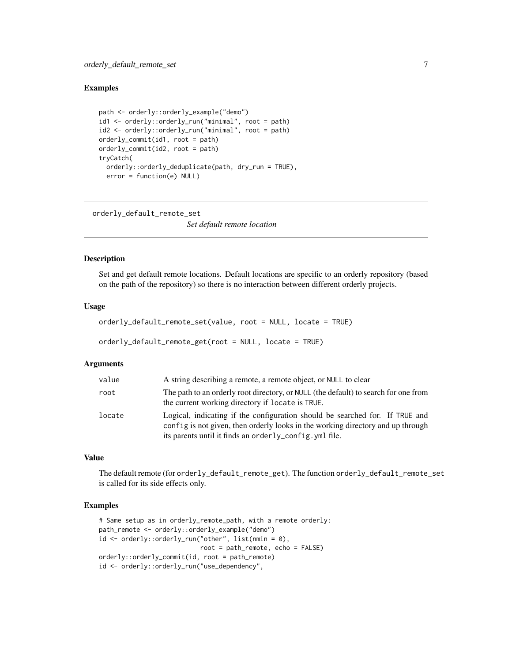## <span id="page-6-0"></span>Examples

```
path <- orderly::orderly_example("demo")
id1 <- orderly::orderly_run("minimal", root = path)
id2 <- orderly::orderly_run("minimal", root = path)
orderly_commit(id1, root = path)
orderly_commit(id2, root = path)
tryCatch(
  orderly::orderly_deduplicate(path, dry_run = TRUE),
  error = function(e) NULL)
```
orderly\_default\_remote\_set

*Set default remote location*

#### Description

Set and get default remote locations. Default locations are specific to an orderly repository (based on the path of the repository) so there is no interaction between different orderly projects.

#### Usage

```
orderly_default_remote_set(value, root = NULL, locate = TRUE)
```

```
orderly_default_remote_get(root = NULL, locate = TRUE)
```
## Arguments

| value  | A string describing a remote, a remote object, or NULL to clear                                                                                                                                                                         |
|--------|-----------------------------------------------------------------------------------------------------------------------------------------------------------------------------------------------------------------------------------------|
| root   | The path to an orderly root directory, or NULL (the default) to search for one from<br>the current working directory if locate is TRUE.                                                                                                 |
| locate | Logical, indicating if the configuration should be searched for. If TRUE and<br>config is not given, then orderly looks in the working directory and up through<br>its parents until it finds an order $l_{\text{V}}$ config. yml file. |

## Value

The default remote (for orderly\_default\_remote\_get). The function orderly\_default\_remote\_set is called for its side effects only.

#### Examples

```
# Same setup as in orderly_remote_path, with a remote orderly:
path_remote <- orderly::orderly_example("demo")
id <- orderly::orderly_run("other", list(nmin = 0),
                           root = path_remote, echo = FALSE)
orderly::orderly_commit(id, root = path_remote)
id <- orderly::orderly_run("use_dependency",
```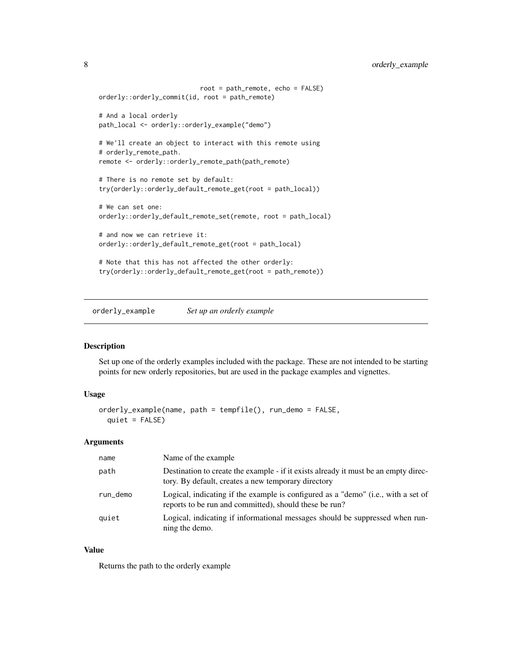```
root = path_remote, echo = FALSE)
orderly::orderly_commit(id, root = path_remote)
# And a local orderly
path_local <- orderly::orderly_example("demo")
# We'll create an object to interact with this remote using
# orderly_remote_path.
remote <- orderly::orderly_remote_path(path_remote)
# There is no remote set by default:
try(orderly::orderly_default_remote_get(root = path_local))
# We can set one:
orderly::orderly_default_remote_set(remote, root = path_local)
# and now we can retrieve it:
orderly::orderly_default_remote_get(root = path_local)
# Note that this has not affected the other orderly:
try(orderly::orderly_default_remote_get(root = path_remote))
```
orderly\_example *Set up an orderly example*

#### Description

Set up one of the orderly examples included with the package. These are not intended to be starting points for new orderly repositories, but are used in the package examples and vignettes.

## Usage

```
orderly_example(name, path = tempfile(), run_demo = FALSE,
 quiet = FALSE)
```
#### Arguments

| name     | Name of the example                                                                                                                         |
|----------|---------------------------------------------------------------------------------------------------------------------------------------------|
| path     | Destination to create the example - if it exists already it must be an empty direc-<br>tory. By default, creates a new temporary directory  |
| run_demo | Logical, indicating if the example is configured as a "demo" (i.e., with a set of<br>reports to be run and committed), should these be run? |
| quiet    | Logical, indicating if informational messages should be suppressed when run-<br>ning the demo.                                              |

## Value

Returns the path to the orderly example

<span id="page-7-0"></span>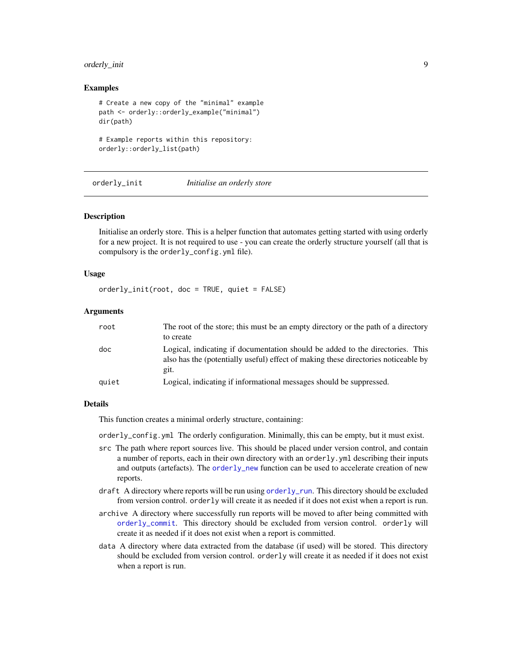## <span id="page-8-0"></span>orderly\_init 9

## Examples

```
# Create a new copy of the "minimal" example
path <- orderly::orderly_example("minimal")
dir(path)
```

```
# Example reports within this repository:
orderly::orderly_list(path)
```
<span id="page-8-1"></span>orderly\_init *Initialise an orderly store*

#### Description

Initialise an orderly store. This is a helper function that automates getting started with using orderly for a new project. It is not required to use - you can create the orderly structure yourself (all that is compulsory is the orderly\_config.yml file).

## Usage

orderly\_init(root, doc = TRUE, quiet = FALSE)

#### Arguments

| root  | The root of the store; this must be an empty directory or the path of a directory                                                                                           |
|-------|-----------------------------------------------------------------------------------------------------------------------------------------------------------------------------|
|       | to create                                                                                                                                                                   |
| doc   | Logical, indicating if documentation should be added to the directories. This<br>also has the (potentially useful) effect of making these directories noticeable by<br>git. |
| quiet | Logical, indicating if informational messages should be suppressed.                                                                                                         |

## Details

This function creates a minimal orderly structure, containing:

orderly\_config.yml The orderly configuration. Minimally, this can be empty, but it must exist.

- src The path where report sources live. This should be placed under version control, and contain a number of reports, each in their own directory with an orderly.yml describing their inputs and outputs (artefacts). The [orderly\\_new](#page-15-1) function can be used to accelerate creation of new reports.
- draft A directory where reports will be run using [orderly\\_run](#page-21-1). This directory should be excluded from version control. orderly will create it as needed if it does not exist when a report is run.
- archive A directory where successfully run reports will be moved to after being committed with [orderly\\_commit](#page-2-1). This directory should be excluded from version control. orderly will create it as needed if it does not exist when a report is committed.
- data A directory where data extracted from the database (if used) will be stored. This directory should be excluded from version control. orderly will create it as needed if it does not exist when a report is run.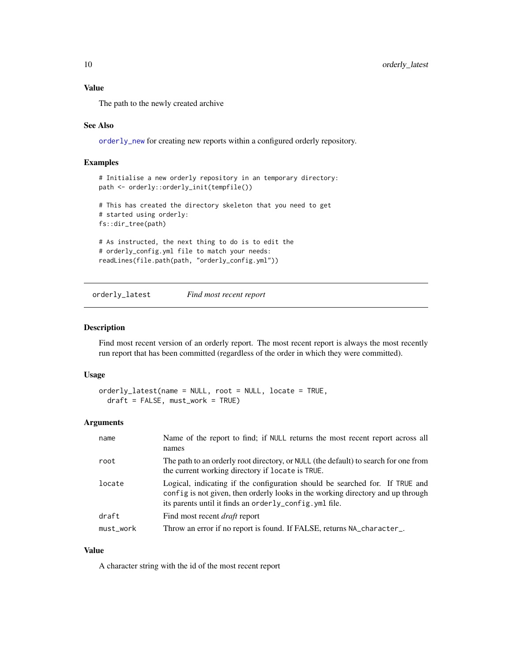## <span id="page-9-0"></span>Value

The path to the newly created archive

## See Also

[orderly\\_new](#page-15-1) for creating new reports within a configured orderly repository.

## Examples

```
# Initialise a new orderly repository in an temporary directory:
path <- orderly::orderly_init(tempfile())
# This has created the directory skeleton that you need to get
# started using orderly:
fs::dir_tree(path)
# As instructed, the next thing to do is to edit the
# orderly_config.yml file to match your needs:
readLines(file.path(path, "orderly_config.yml"))
```
<span id="page-9-1"></span>orderly\_latest *Find most recent report*

## Description

Find most recent version of an orderly report. The most recent report is always the most recently run report that has been committed (regardless of the order in which they were committed).

## Usage

```
orderly_latest(name = NULL, root = NULL, locate = TRUE,
 draft = FALSE, must_work = TRUE)
```
## Arguments

| name      | Name of the report to find; if NULL returns the most recent report across all<br>names                                                                                                                                     |
|-----------|----------------------------------------------------------------------------------------------------------------------------------------------------------------------------------------------------------------------------|
| root      | The path to an orderly root directory, or NULL (the default) to search for one from<br>the current working directory if locate is TRUE.                                                                                    |
| locate    | Logical, indicating if the configuration should be searched for. If TRUE and<br>config is not given, then orderly looks in the working directory and up through<br>its parents until it finds an orderly_config. yml file. |
| draft     | Find most recent <i>draft</i> report                                                                                                                                                                                       |
| must_work | Throw an error if no report is found. If FALSE, returns NA_character_.                                                                                                                                                     |

## Value

A character string with the id of the most recent report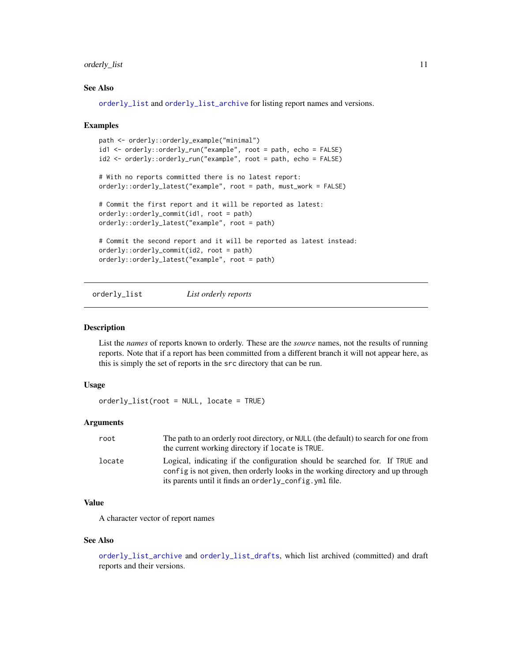## <span id="page-10-0"></span>orderly\_list 11

## See Also

[orderly\\_list](#page-10-1) and [orderly\\_list\\_archive](#page-11-1) for listing report names and versions.

#### Examples

```
path <- orderly::orderly_example("minimal")
id1 <- orderly::orderly_run("example", root = path, echo = FALSE)
id2 <- orderly::orderly_run("example", root = path, echo = FALSE)
# With no reports committed there is no latest report:
orderly::orderly_latest("example", root = path, must_work = FALSE)
# Commit the first report and it will be reported as latest:
orderly::orderly_commit(id1, root = path)
orderly::orderly_latest("example", root = path)
# Commit the second report and it will be reported as latest instead:
orderly::orderly_commit(id2, root = path)
orderly::orderly_latest("example", root = path)
```
<span id="page-10-1"></span>orderly\_list *List orderly reports*

## Description

List the *names* of reports known to orderly. These are the *source* names, not the results of running reports. Note that if a report has been committed from a different branch it will not appear here, as this is simply the set of reports in the src directory that can be run.

## Usage

orderly\_list(root = NULL, locate = TRUE)

#### Arguments

| root   | The path to an orderly root directory, or NULL (the default) to search for one from<br>the current working directory if locate is TRUE.                         |
|--------|-----------------------------------------------------------------------------------------------------------------------------------------------------------------|
| locate | Logical, indicating if the configuration should be searched for. If TRUE and<br>config is not given, then orderly looks in the working directory and up through |
|        | its parents until it finds an orderly_config.yml file.                                                                                                          |

## Value

A character vector of report names

#### See Also

[orderly\\_list\\_archive](#page-11-1) and [orderly\\_list\\_drafts](#page-11-2), which list archived (committed) and draft reports and their versions.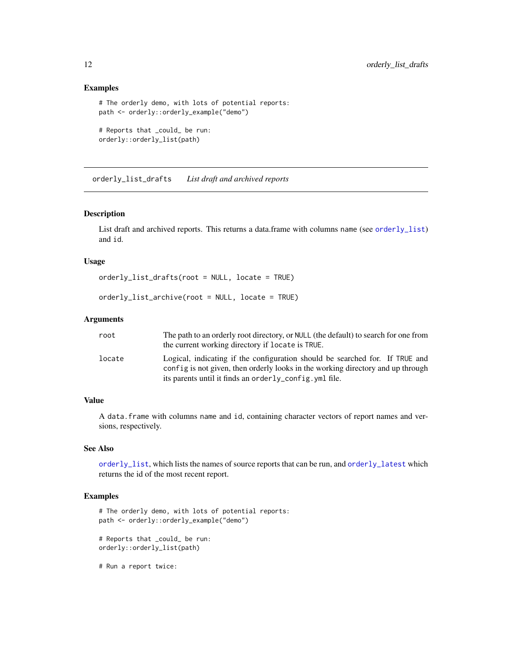## Examples

```
# The orderly demo, with lots of potential reports:
path <- orderly::orderly_example("demo")
# Reports that _could_ be run:
```
orderly::orderly\_list(path)

<span id="page-11-2"></span>orderly\_list\_drafts *List draft and archived reports*

#### <span id="page-11-1"></span>Description

List draft and archived reports. This returns a data.frame with columns name (see [orderly\\_list](#page-10-1)) and id.

## Usage

orderly\_list\_drafts(root = NULL, locate = TRUE)

```
orderly_list_archive(root = NULL, locate = TRUE)
```
#### Arguments

| root   | The path to an orderly root directory, or NULL (the default) to search for one from<br>the current working directory if locate is TRUE.                                                                                                   |
|--------|-------------------------------------------------------------------------------------------------------------------------------------------------------------------------------------------------------------------------------------------|
| locate | Logical, indicating if the configuration should be searched for. If TRUE and<br>config is not given, then orderly looks in the working directory and up through<br>its parents until it finds an order $l$ $v_{\rm}$ config. $v$ ml file. |

## Value

A data.frame with columns name and id, containing character vectors of report names and versions, respectively.

## See Also

[orderly\\_list](#page-10-1), which lists the names of source reports that can be run, and [orderly\\_latest](#page-9-1) which returns the id of the most recent report.

## Examples

```
# The orderly demo, with lots of potential reports:
path <- orderly::orderly_example("demo")
```
# Reports that \_could\_ be run: orderly::orderly\_list(path)

# Run a report twice:

<span id="page-11-0"></span>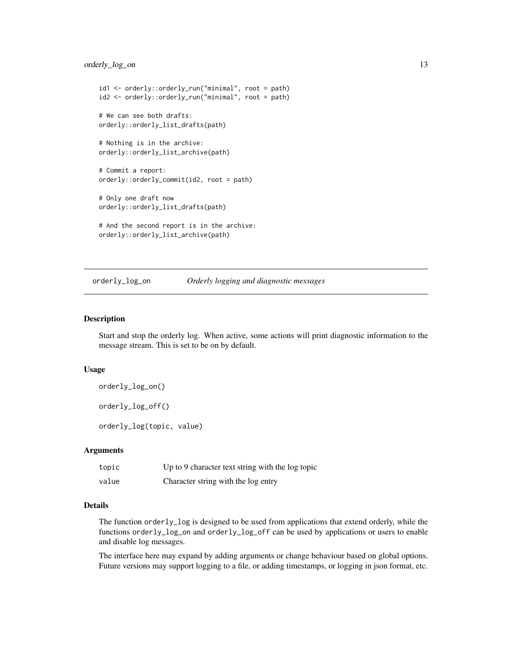## <span id="page-12-0"></span>orderly\_log\_on 13

```
id1 <- orderly::orderly_run("minimal", root = path)
id2 <- orderly::orderly_run("minimal", root = path)
# We can see both drafts:
orderly::orderly_list_drafts(path)
# Nothing is in the archive:
orderly::orderly_list_archive(path)
# Commit a report:
orderly::orderly_commit(id2, root = path)
# Only one draft now
orderly::orderly_list_drafts(path)
# And the second report is in the archive:
```

```
orderly::orderly_list_archive(path)
```
orderly\_log\_on *Orderly logging and diagnostic messages*

#### <span id="page-12-1"></span>Description

Start and stop the orderly log. When active, some actions will print diagnostic information to the message stream. This is set to be on by default.

## Usage

orderly\_log\_on()

orderly\_log\_off()

orderly\_log(topic, value)

## Arguments

| topic | Up to 9 character text string with the log topic |
|-------|--------------------------------------------------|
| value | Character string with the log entry              |

## Details

The function orderly\_log is designed to be used from applications that extend orderly, while the functions orderly\_log\_on and orderly\_log\_off can be used by applications or users to enable and disable log messages.

The interface here may expand by adding arguments or change behaviour based on global options. Future versions may support logging to a file, or adding timestamps, or logging in json format, etc.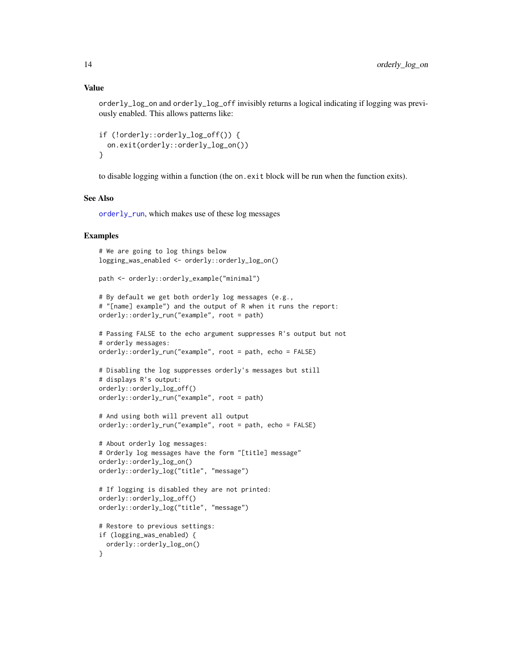orderly\_log\_on and orderly\_log\_off invisibly returns a logical indicating if logging was previously enabled. This allows patterns like:

```
if (!orderly::orderly_log_off()) {
  on.exit(orderly::orderly_log_on())
}
```
to disable logging within a function (the on.exit block will be run when the function exits).

## See Also

[orderly\\_run](#page-21-1), which makes use of these log messages

#### Examples

```
# We are going to log things below
logging_was_enabled <- orderly::orderly_log_on()
path <- orderly::orderly_example("minimal")
# By default we get both orderly log messages (e.g.,
# "[name] example") and the output of R when it runs the report:
orderly::orderly_run("example", root = path)
# Passing FALSE to the echo argument suppresses R's output but not
# orderly messages:
orderly::orderly_run("example", root = path, echo = FALSE)
# Disabling the log suppresses orderly's messages but still
# displays R's output:
orderly::orderly_log_off()
orderly::orderly_run("example", root = path)
# And using both will prevent all output
orderly::orderly_run("example", root = path, echo = FALSE)
# About orderly log messages:
# Orderly log messages have the form "[title] message"
orderly::orderly_log_on()
orderly::orderly_log("title", "message")
# If logging is disabled they are not printed:
orderly::orderly_log_off()
orderly::orderly_log("title", "message")
```

```
}
```
# Restore to previous settings: if (logging\_was\_enabled) { orderly::orderly\_log\_on()

<span id="page-13-0"></span>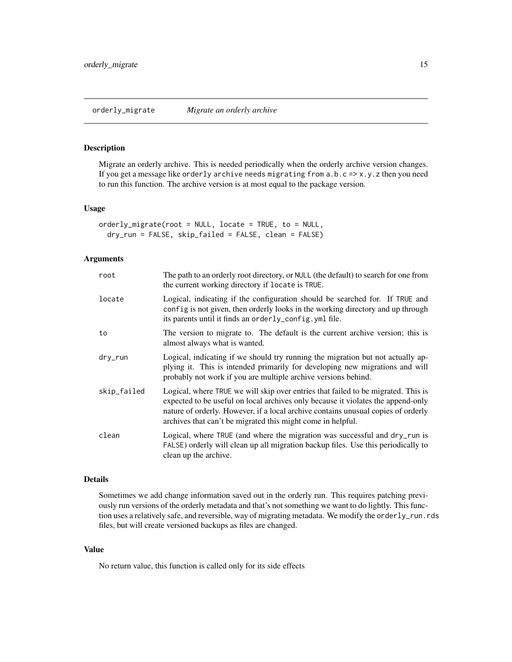## <span id="page-14-1"></span><span id="page-14-0"></span>Description

Migrate an orderly archive. This is needed periodically when the orderly archive version changes. If you get a message like orderly archive needs migrating from  $a.b.c = > x.y.z$  then you need to run this function. The archive version is at most equal to the package version.

#### Usage

orderly\_migrate(root = NULL, locate = TRUE, to = NULL, dry\_run = FALSE, skip\_failed = FALSE, clean = FALSE)

## Arguments

| root        | The path to an orderly root directory, or NULL (the default) to search for one from<br>the current working directory if locate is TRUE.                                                                                                                                                                                   |
|-------------|---------------------------------------------------------------------------------------------------------------------------------------------------------------------------------------------------------------------------------------------------------------------------------------------------------------------------|
| locate      | Logical, indicating if the configuration should be searched for. If TRUE and<br>config is not given, then orderly looks in the working directory and up through<br>its parents until it finds an orderly_config.yml file.                                                                                                 |
| to          | The version to migrate to. The default is the current archive version; this is<br>almost always what is wanted.                                                                                                                                                                                                           |
| dry_run     | Logical, indicating if we should try running the migration but not actually ap-<br>plying it. This is intended primarily for developing new migrations and will<br>probably not work if you are multiple archive versions behind.                                                                                         |
| skip_failed | Logical, where TRUE we will skip over entries that failed to be migrated. This is<br>expected to be useful on local archives only because it violates the append-only<br>nature of orderly. However, if a local archive contains unusual copies of orderly<br>archives that can't be migrated this might come in helpful. |
| clean       | Logical, where TRUE (and where the migration was successful and dry_run is<br>FALSE) orderly will clean up all migration backup files. Use this periodically to<br>clean up the archive.                                                                                                                                  |

## Details

Sometimes we add change information saved out in the orderly run. This requires patching previously run versions of the orderly metadata and that's not something we want to do lightly. This function uses a relatively safe, and reversible, way of migrating metadata. We modify the orderly\_run.rds files, but will create versioned backups as files are changed.

#### Value

No return value, this function is called only for its side effects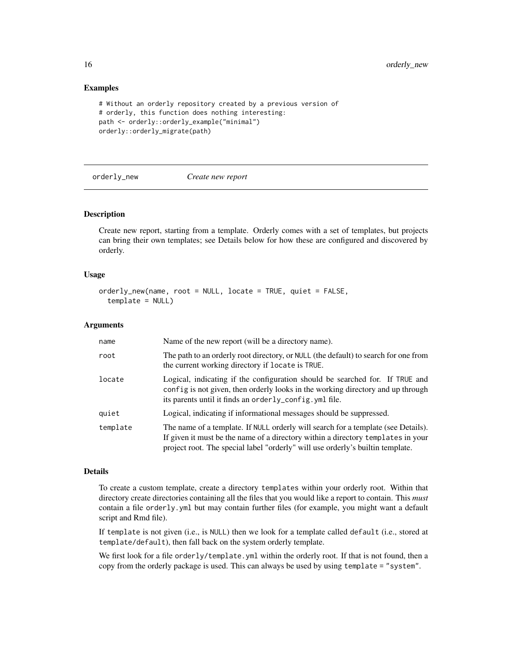## Examples

```
# Without an orderly repository created by a previous version of
# orderly, this function does nothing interesting:
path <- orderly::orderly_example("minimal")
orderly::orderly_migrate(path)
```
<span id="page-15-1"></span>orderly\_new *Create new report*

## Description

Create new report, starting from a template. Orderly comes with a set of templates, but projects can bring their own templates; see Details below for how these are configured and discovered by orderly.

#### Usage

```
orderly_new(name, root = NULL, locate = TRUE, quiet = FALSE,
  template = NULL)
```
#### Arguments

| name     | Name of the new report (will be a directory name).                                                                                                                                                                                                      |
|----------|---------------------------------------------------------------------------------------------------------------------------------------------------------------------------------------------------------------------------------------------------------|
| root     | The path to an orderly root directory, or NULL (the default) to search for one from<br>the current working directory if locate is TRUE.                                                                                                                 |
| locate   | Logical, indicating if the configuration should be searched for. If TRUE and<br>config is not given, then orderly looks in the working directory and up through<br>its parents until it finds an orderly_config.yml file.                               |
| quiet    | Logical, indicating if informational messages should be suppressed.                                                                                                                                                                                     |
| template | The name of a template. If NULL orderly will search for a template (see Details).<br>If given it must be the name of a directory within a directory templates in your<br>project root. The special label "orderly" will use orderly's builtin template. |

#### Details

To create a custom template, create a directory templates within your orderly root. Within that directory create directories containing all the files that you would like a report to contain. This *must* contain a file orderly.yml but may contain further files (for example, you might want a default script and Rmd file).

If template is not given (i.e., is NULL) then we look for a template called default (i.e., stored at template/default), then fall back on the system orderly template.

We first look for a file orderly/template.yml within the orderly root. If that is not found, then a copy from the orderly package is used. This can always be used by using template = "system".

<span id="page-15-0"></span>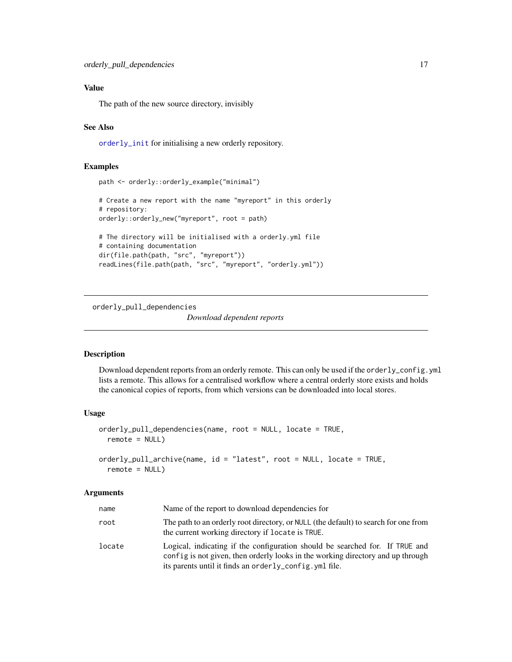## <span id="page-16-0"></span>Value

The path of the new source directory, invisibly

## See Also

[orderly\\_init](#page-8-1) for initialising a new orderly repository.

## Examples

```
path <- orderly::orderly_example("minimal")
# Create a new report with the name "myreport" in this orderly
# repository:
orderly::orderly_new("myreport", root = path)
# The directory will be initialised with a orderly.yml file
# containing documentation
dir(file.path(path, "src", "myreport"))
readLines(file.path(path, "src", "myreport", "orderly.yml"))
```
<span id="page-16-1"></span>orderly\_pull\_dependencies

*Download dependent reports*

## <span id="page-16-2"></span>Description

Download dependent reports from an orderly remote. This can only be used if the orderly\_config.yml lists a remote. This allows for a centralised workflow where a central orderly store exists and holds the canonical copies of reports, from which versions can be downloaded into local stores.

## Usage

```
orderly_pull_dependencies(name, root = NULL, locate = TRUE,
  remote = NULL)orderly_pull_archive(name, id = "latest", root = NULL, locate = TRUE,
  remote = NULL)
```

| name   | Name of the report to download dependencies for                                                                                                                                                                            |
|--------|----------------------------------------------------------------------------------------------------------------------------------------------------------------------------------------------------------------------------|
| root   | The path to an orderly root directory, or NULL (the default) to search for one from<br>the current working directory if locate is TRUE.                                                                                    |
| locate | Logical, indicating if the configuration should be searched for. If TRUE and<br>config is not given, then orderly looks in the working directory and up through<br>its parents until it finds an orderly_config. yml file. |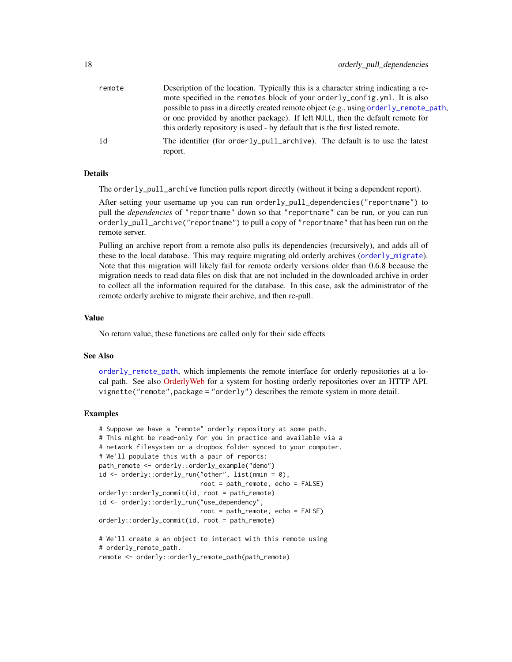<span id="page-17-0"></span>

| remote | Description of the location. Typically this is a character string indicating a re-     |
|--------|----------------------------------------------------------------------------------------|
|        | mote specified in the remotes block of your orderly_config.yml. It is also             |
|        | possible to pass in a directly created remote object (e.g., using orderly_remote_path, |
|        | or one provided by another package). If left NULL, then the default remote for         |
|        | this orderly repository is used - by default that is the first listed remote.          |
| id     | The identifier (for orderly_pull_archive). The default is to use the latest            |
|        | report.                                                                                |

## Details

The orderly\_pull\_archive function pulls report directly (without it being a dependent report).

After setting your username up you can run orderly\_pull\_dependencies("reportname") to pull the *dependencies* of "reportname" down so that "reportname" can be run, or you can run orderly\_pull\_archive("reportname") to pull a copy of "reportname" that has been run on the remote server.

Pulling an archive report from a remote also pulls its dependencies (recursively), and adds all of these to the local database. This may require migrating old orderly archives ([orderly\\_migrate](#page-14-1)). Note that this migration will likely fail for remote orderly versions older than 0.6.8 because the migration needs to read data files on disk that are not included in the downloaded archive in order to collect all the information required for the database. In this case, ask the administrator of the remote orderly archive to migrate their archive, and then re-pull.

## Value

No return value, these functions are called only for their side effects

## See Also

[orderly\\_remote\\_path](#page-19-1), which implements the remote interface for orderly repositories at a local path. See also [OrderlyWeb](https://github.com/vimc/orderly-web) for a system for hosting orderly repositories over an HTTP API. vignette("remote", package = "orderly") describes the remote system in more detail.

## Examples

```
# Suppose we have a "remote" orderly repository at some path.
# This might be read-only for you in practice and available via a
# network filesystem or a dropbox folder synced to your computer.
# We'll populate this with a pair of reports:
path_remote <- orderly::orderly_example("demo")
id \leq orderly::orderly_run("other", list(nmin = 0),
                           root = path_remote, echo = FALSE)
orderly::orderly_commit(id, root = path_remote)
id <- orderly::orderly_run("use_dependency",
                           root = path_remote, echo = FALSE)
orderly::orderly_commit(id, root = path_remote)
# We'll create a an object to interact with this remote using
# orderly_remote_path.
```
remote <- orderly::orderly\_remote\_path(path\_remote)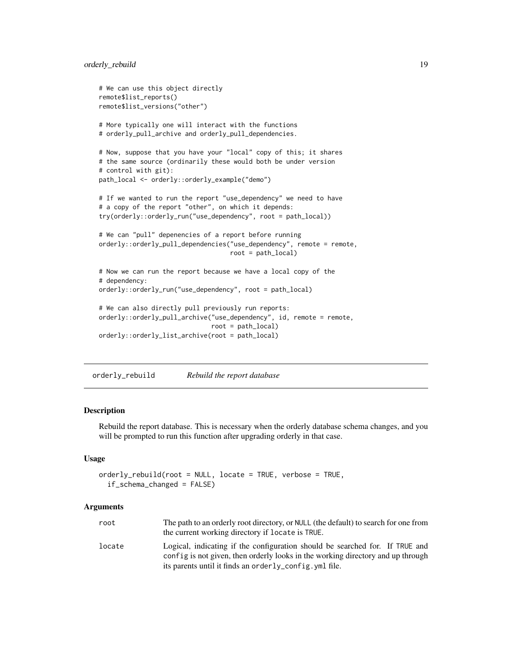```
# We can use this object directly
remote$list_reports()
remote$list_versions("other")
# More typically one will interact with the functions
# orderly_pull_archive and orderly_pull_dependencies.
# Now, suppose that you have your "local" copy of this; it shares
# the same source (ordinarily these would both be under version
# control with git):
path_local <- orderly::orderly_example("demo")
# If we wanted to run the report "use_dependency" we need to have
# a copy of the report "other", on which it depends:
try(orderly::orderly_run("use_dependency", root = path_local))
# We can "pull" depenencies of a report before running
orderly::orderly_pull_dependencies("use_dependency", remote = remote,
                                   root = path_local)
# Now we can run the report because we have a local copy of the
# dependency:
orderly::orderly_run("use_dependency", root = path_local)
# We can also directly pull previously run reports:
orderly::orderly_pull_archive("use_dependency", id, remote = remote,
                              root = path_local)
orderly::orderly_list_archive(root = path_local)
```
orderly\_rebuild *Rebuild the report database*

#### **Description**

Rebuild the report database. This is necessary when the orderly database schema changes, and you will be prompted to run this function after upgrading orderly in that case.

#### Usage

```
orderly_rebuild(root = NULL, locate = TRUE, verbose = TRUE,
  if_schema_changed = FALSE)
```

| root   | The path to an orderly root directory, or NULL (the default) to search for one from                                                                             |
|--------|-----------------------------------------------------------------------------------------------------------------------------------------------------------------|
|        | the current working directory if locate is TRUE.                                                                                                                |
| locate | Logical, indicating if the configuration should be searched for. If TRUE and<br>config is not given, then orderly looks in the working directory and up through |
|        | its parents until it finds an orderly_config.yml file.                                                                                                          |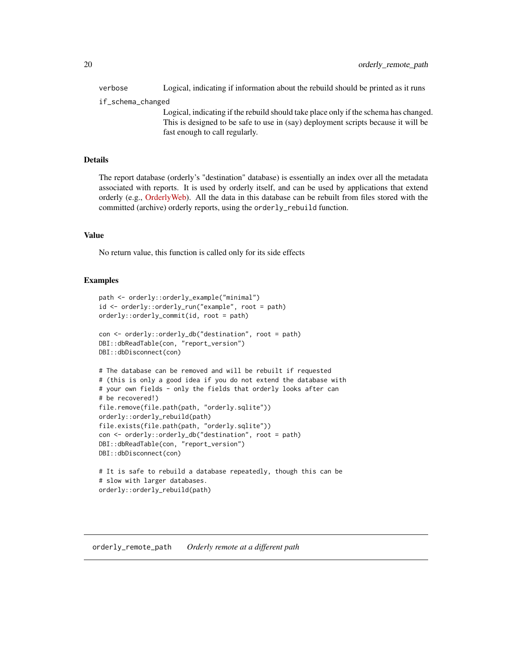<span id="page-19-0"></span>verbose Logical, indicating if information about the rebuild should be printed as it runs

if\_schema\_changed

Logical, indicating if the rebuild should take place only if the schema has changed. This is designed to be safe to use in (say) deployment scripts because it will be fast enough to call regularly.

## Details

The report database (orderly's "destination" database) is essentially an index over all the metadata associated with reports. It is used by orderly itself, and can be used by applications that extend orderly (e.g., [OrderlyWeb\)](https://github.com/vimc/orderly-web). All the data in this database can be rebuilt from files stored with the committed (archive) orderly reports, using the orderly\_rebuild function.

## Value

No return value, this function is called only for its side effects

## Examples

```
path <- orderly::orderly_example("minimal")
id <- orderly::orderly_run("example", root = path)
orderly::orderly_commit(id, root = path)
con <- orderly::orderly_db("destination", root = path)
DBI::dbReadTable(con, "report_version")
DBI::dbDisconnect(con)
# The database can be removed and will be rebuilt if requested
# (this is only a good idea if you do not extend the database with
# your own fields - only the fields that orderly looks after can
# be recovered!)
file.remove(file.path(path, "orderly.sqlite"))
orderly::orderly_rebuild(path)
file.exists(file.path(path, "orderly.sqlite"))
con <- orderly::orderly_db("destination", root = path)
DBI::dbReadTable(con, "report_version")
DBI::dbDisconnect(con)
# It is safe to rebuild a database repeatedly, though this can be
# slow with larger databases.
```

```
orderly::orderly_rebuild(path)
```
<span id="page-19-1"></span>orderly\_remote\_path *Orderly remote at a different path*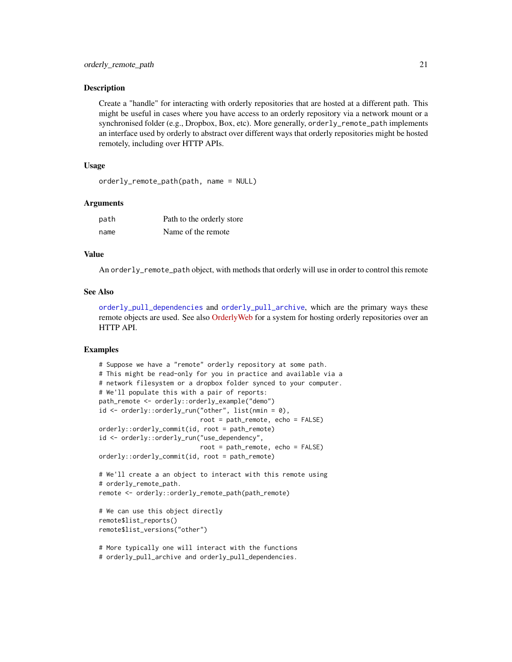## <span id="page-20-0"></span>**Description**

Create a "handle" for interacting with orderly repositories that are hosted at a different path. This might be useful in cases where you have access to an orderly repository via a network mount or a synchronised folder (e.g., Dropbox, Box, etc). More generally, orderly\_remote\_path implements an interface used by orderly to abstract over different ways that orderly repositories might be hosted remotely, including over HTTP APIs.

## Usage

```
orderly_remote_path(path, name = NULL)
```
#### Arguments

| path | Path to the orderly store |
|------|---------------------------|
| name | Name of the remote        |

## Value

An orderly\_remote\_path object, with methods that orderly will use in order to control this remote

#### See Also

[orderly\\_pull\\_dependencies](#page-16-1) and [orderly\\_pull\\_archive](#page-16-2), which are the primary ways these remote objects are used. See also [OrderlyWeb](https://github.com/vimc/orderly-web) for a system for hosting orderly repositories over an HTTP API.

## Examples

```
# Suppose we have a "remote" orderly repository at some path.
# This might be read-only for you in practice and available via a
# network filesystem or a dropbox folder synced to your computer.
# We'll populate this with a pair of reports:
path_remote <- orderly::orderly_example("demo")
id <- orderly::orderly_run("other", list(nmin = 0),
                           root = path_remote, echo = FALSE)
orderly::orderly_commit(id, root = path_remote)
id <- orderly::orderly_run("use_dependency",
                           root = path_remote, echo = FALSE)
orderly::orderly_commit(id, root = path_remote)
# We'll create a an object to interact with this remote using
# orderly_remote_path.
remote <- orderly::orderly_remote_path(path_remote)
# We can use this object directly
remote$list_reports()
remote$list_versions("other")
```
# More typically one will interact with the functions # orderly\_pull\_archive and orderly\_pull\_dependencies.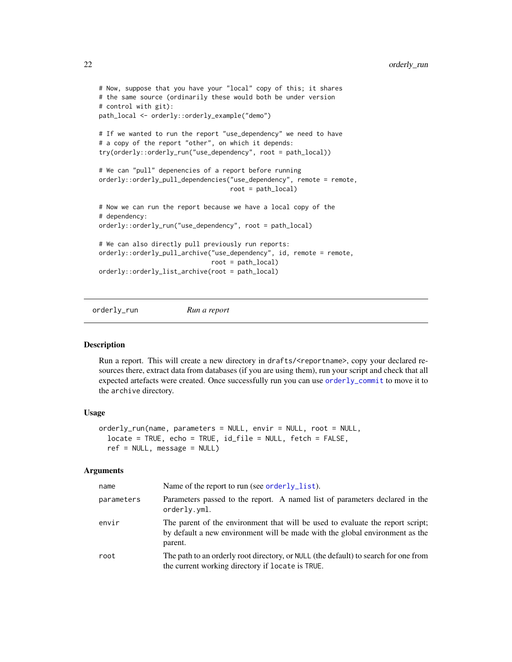```
# Now, suppose that you have your "local" copy of this; it shares
# the same source (ordinarily these would both be under version
# control with git):
path_local <- orderly::orderly_example("demo")
# If we wanted to run the report "use_dependency" we need to have
# a copy of the report "other", on which it depends:
try(orderly::orderly_run("use_dependency", root = path_local))
# We can "pull" depenencies of a report before running
orderly::orderly_pull_dependencies("use_dependency", remote = remote,
                                   root = path_local)
# Now we can run the report because we have a local copy of the
# dependency:
orderly::orderly_run("use_dependency", root = path_local)
# We can also directly pull previously run reports:
orderly::orderly_pull_archive("use_dependency", id, remote = remote,
                              root = path_local)
orderly::orderly_list_archive(root = path_local)
```
<span id="page-21-1"></span>orderly\_run *Run a report*

## Description

Run a report. This will create a new directory in drafts/<reportname>, copy your declared resources there, extract data from databases (if you are using them), run your script and check that all expected artefacts were created. Once successfully run you can use [orderly\\_commit](#page-2-1) to move it to the archive directory.

## Usage

```
orderly_run(name, parameters = NULL, envir = NULL, root = NULL,
  locate = TRUE, echo = TRUE, id_file = NULL, fetch = FALSE,
  ref = NULL, message = NULL)
```

| name       | Name of the report to run (see order $l$ $\ell$ $l$ ist).                                                                                                                 |
|------------|---------------------------------------------------------------------------------------------------------------------------------------------------------------------------|
| parameters | Parameters passed to the report. A named list of parameters declared in the<br>orderly.yml.                                                                               |
| envir      | The parent of the environment that will be used to evaluate the report script;<br>by default a new environment will be made with the global environment as the<br>parent. |
| root       | The path to an orderly root directory, or NULL (the default) to search for one from<br>the current working directory if locate is TRUE.                                   |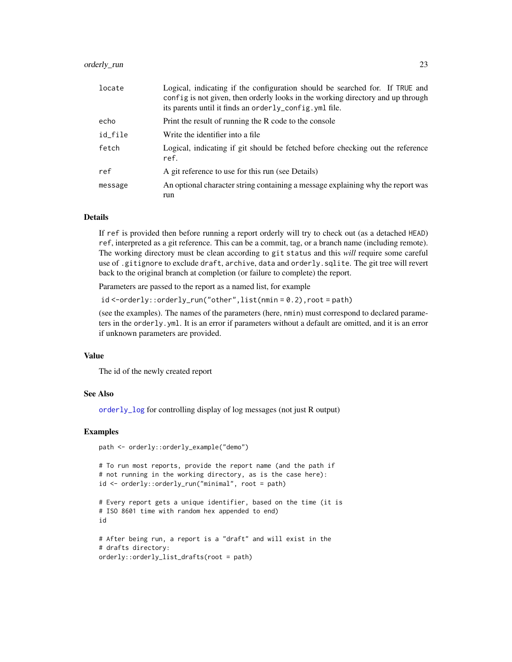## <span id="page-22-0"></span>orderly\_run 23

| locate  | Logical, indicating if the configuration should be searched for. If TRUE and<br>config is not given, then orderly looks in the working directory and up through<br>its parents until it finds an orderly_config. yml file. |
|---------|----------------------------------------------------------------------------------------------------------------------------------------------------------------------------------------------------------------------------|
| echo    | Print the result of running the R code to the console                                                                                                                                                                      |
| id_file | Write the identifier into a file.                                                                                                                                                                                          |
| fetch   | Logical, indicating if git should be fetched before checking out the reference<br>ref.                                                                                                                                     |
| ref     | A git reference to use for this run (see Details)                                                                                                                                                                          |
| message | An optional character string containing a message explaining why the report was<br>run                                                                                                                                     |

## Details

If ref is provided then before running a report orderly will try to check out (as a detached HEAD) ref, interpreted as a git reference. This can be a commit, tag, or a branch name (including remote). The working directory must be clean according to git status and this *will* require some careful use of .gitignore to exclude draft, archive, data and orderly.sqlite. The git tree will revert back to the original branch at completion (or failure to complete) the report.

Parameters are passed to the report as a named list, for example

id <-orderly::orderly\_run("other",list(nmin = 0.2),root = path)

(see the examples). The names of the parameters (here, nmin) must correspond to declared parameters in the orderly.yml. It is an error if parameters without a default are omitted, and it is an error if unknown parameters are provided.

#### Value

The id of the newly created report

## See Also

[orderly\\_log](#page-12-1) for controlling display of log messages (not just R output)

## Examples

```
path <- orderly::orderly_example("demo")
```

```
# To run most reports, provide the report name (and the path if
# not running in the working directory, as is the case here):
id <- orderly::orderly_run("minimal", root = path)
```

```
# Every report gets a unique identifier, based on the time (it is
# ISO 8601 time with random hex appended to end)
id
```

```
# After being run, a report is a "draft" and will exist in the
# drafts directory:
orderly::orderly_list_drafts(root = path)
```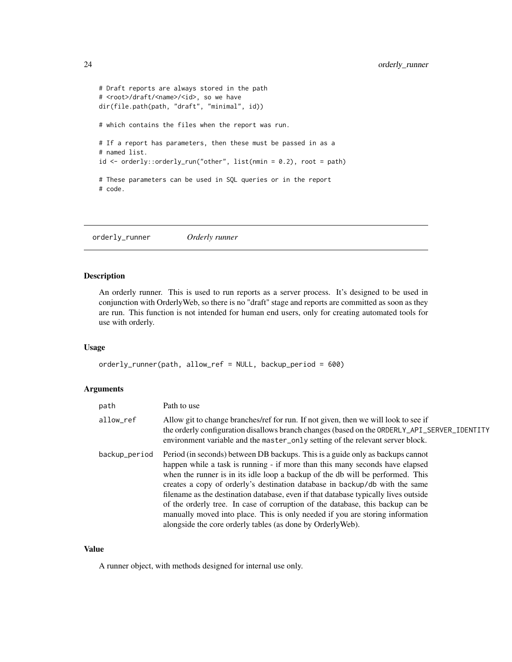```
# Draft reports are always stored in the path
# <root>/draft/<name>/<id>, so we have
dir(file.path(path, "draft", "minimal", id))
# which contains the files when the report was run.
# If a report has parameters, then these must be passed in as a
# named list.
id <- orderly::orderly_run("other", list(nmin = 0.2), root = path)
# These parameters can be used in SQL queries or in the report
# code.
```
orderly\_runner *Orderly runner*

## Description

An orderly runner. This is used to run reports as a server process. It's designed to be used in conjunction with OrderlyWeb, so there is no "draft" stage and reports are committed as soon as they are run. This function is not intended for human end users, only for creating automated tools for use with orderly.

## Usage

```
orderly_runner(path, allow_ref = NULL, backup_period = 600)
```
#### Arguments

| path          | Path to use                                                                                                                                                                                                                                                                                                                                                                                                                                                                                                                                                                                                                                              |
|---------------|----------------------------------------------------------------------------------------------------------------------------------------------------------------------------------------------------------------------------------------------------------------------------------------------------------------------------------------------------------------------------------------------------------------------------------------------------------------------------------------------------------------------------------------------------------------------------------------------------------------------------------------------------------|
| allow_ref     | Allow git to change branches/ref for run. If not given, then we will look to see if<br>the orderly configuration disallows branch changes (based on the ORDERLY_API_SERVER_IDENTITY<br>environment variable and the master_only setting of the relevant server block.                                                                                                                                                                                                                                                                                                                                                                                    |
| backup_period | Period (in seconds) between DB backups. This is a guide only as backups cannot<br>happen while a task is running - if more than this many seconds have elapsed<br>when the runner is in its idle loop a backup of the db will be performed. This<br>creates a copy of orderly's destination database in backup/db with the same<br>filename as the destination database, even if that database typically lives outside<br>of the orderly tree. In case of corruption of the database, this backup can be<br>manually moved into place. This is only needed if you are storing information<br>alongside the core orderly tables (as done by Orderly Web). |

#### Value

A runner object, with methods designed for internal use only.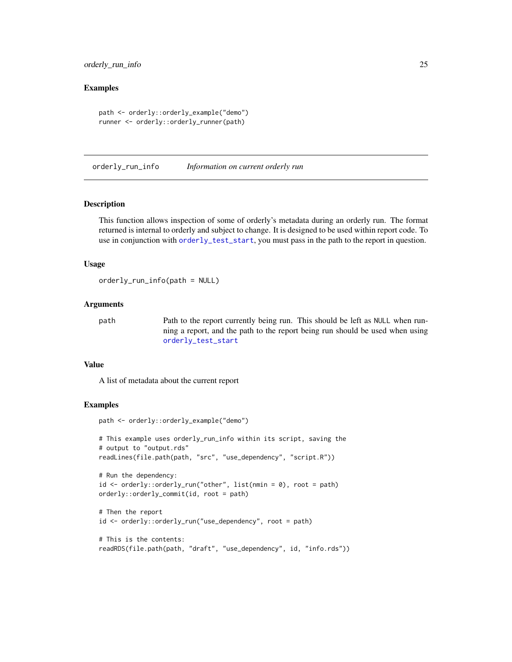## <span id="page-24-0"></span>orderly\_run\_info 25

## Examples

```
path <- orderly::orderly_example("demo")
runner <- orderly::orderly_runner(path)
```
orderly\_run\_info *Information on current orderly run*

#### Description

This function allows inspection of some of orderly's metadata during an orderly run. The format returned is internal to orderly and subject to change. It is designed to be used within report code. To use in conjunction with [orderly\\_test\\_start](#page-26-1), you must pass in the path to the report in question.

#### Usage

orderly\_run\_info(path = NULL)

## **Arguments**

path Path to the report currently being run. This should be left as NULL when running a report, and the path to the report being run should be used when using [orderly\\_test\\_start](#page-26-1)

## Value

A list of metadata about the current report

## Examples

```
path <- orderly::orderly_example("demo")
```

```
# This example uses orderly_run_info within its script, saving the
# output to "output.rds"
readLines(file.path(path, "src", "use_dependency", "script.R"))
# Run the dependency:
```

```
id \leq orderly::orderly_run("other", list(nmin = 0), root = path)
orderly::orderly_commit(id, root = path)
```

```
# Then the report
id <- orderly::orderly_run("use_dependency", root = path)
```

```
# This is the contents:
readRDS(file.path(path, "draft", "use_dependency", id, "info.rds"))
```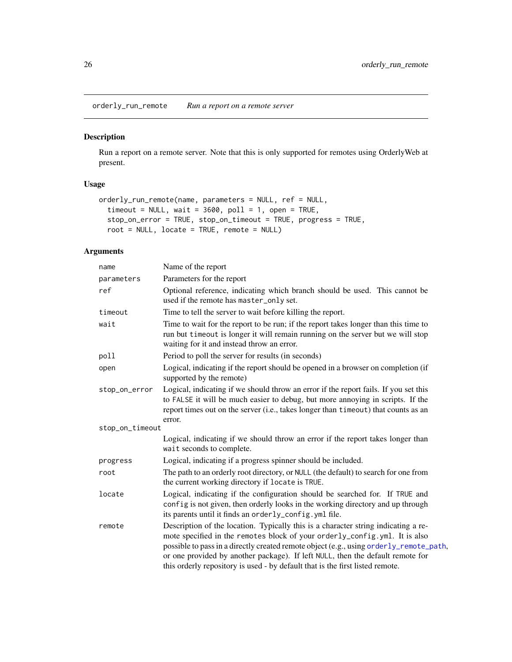<span id="page-25-0"></span>orderly\_run\_remote *Run a report on a remote server*

## Description

Run a report on a remote server. Note that this is only supported for remotes using OrderlyWeb at present.

## Usage

```
orderly_run_remote(name, parameters = NULL, ref = NULL,
  timeout = NULL, wait = 3600, poll = 1, open = TRUE,
  stop_on_error = TRUE, stop_on_timeout = TRUE, progress = TRUE,
  root = NULL, locate = TRUE, remote = NULL)
```

| name            | Name of the report                                                                                                                                                                                                                                                                                                                                                                                                            |
|-----------------|-------------------------------------------------------------------------------------------------------------------------------------------------------------------------------------------------------------------------------------------------------------------------------------------------------------------------------------------------------------------------------------------------------------------------------|
| parameters      | Parameters for the report                                                                                                                                                                                                                                                                                                                                                                                                     |
| ref             | Optional reference, indicating which branch should be used. This cannot be<br>used if the remote has master_only set.                                                                                                                                                                                                                                                                                                         |
| timeout         | Time to tell the server to wait before killing the report.                                                                                                                                                                                                                                                                                                                                                                    |
| wait            | Time to wait for the report to be run; if the report takes longer than this time to<br>run but timeout is longer it will remain running on the server but we will stop<br>waiting for it and instead throw an error.                                                                                                                                                                                                          |
| poll            | Period to poll the server for results (in seconds)                                                                                                                                                                                                                                                                                                                                                                            |
| open            | Logical, indicating if the report should be opened in a browser on completion (if<br>supported by the remote)                                                                                                                                                                                                                                                                                                                 |
| stop_on_error   | Logical, indicating if we should throw an error if the report fails. If you set this<br>to FALSE it will be much easier to debug, but more annoying in scripts. If the<br>report times out on the server (i.e., takes longer than timeout) that counts as an<br>error.                                                                                                                                                        |
| stop_on_timeout |                                                                                                                                                                                                                                                                                                                                                                                                                               |
|                 | Logical, indicating if we should throw an error if the report takes longer than<br>wait seconds to complete.                                                                                                                                                                                                                                                                                                                  |
| progress        | Logical, indicating if a progress spinner should be included.                                                                                                                                                                                                                                                                                                                                                                 |
| root            | The path to an orderly root directory, or NULL (the default) to search for one from<br>the current working directory if locate is TRUE.                                                                                                                                                                                                                                                                                       |
| locate          | Logical, indicating if the configuration should be searched for. If TRUE and<br>config is not given, then orderly looks in the working directory and up through<br>its parents until it finds an orderly_config.yml file.                                                                                                                                                                                                     |
| remote          | Description of the location. Typically this is a character string indicating a re-<br>mote specified in the remotes block of your orderly_config.yml. It is also<br>possible to pass in a directly created remote object (e.g., using orderly_remote_path,<br>or one provided by another package). If left NULL, then the default remote for<br>this orderly repository is used - by default that is the first listed remote. |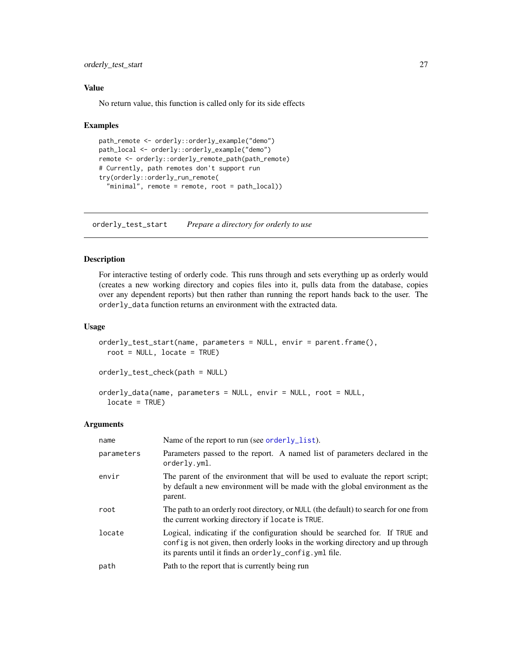<span id="page-26-0"></span>orderly\_test\_start 27

## Value

No return value, this function is called only for its side effects

#### Examples

```
path_remote <- orderly::orderly_example("demo")
path_local <- orderly::orderly_example("demo")
remote <- orderly::orderly_remote_path(path_remote)
# Currently, path remotes don't support run
try(orderly::orderly_run_remote(
  "minimal", remote = remote, root = path_local))
```
<span id="page-26-1"></span>orderly\_test\_start *Prepare a directory for orderly to use*

#### Description

For interactive testing of orderly code. This runs through and sets everything up as orderly would (creates a new working directory and copies files into it, pulls data from the database, copies over any dependent reports) but then rather than running the report hands back to the user. The orderly\_data function returns an environment with the extracted data.

## Usage

```
orderly_test_start(name, parameters = NULL, envir = parent.frame(),
  root = NULL, locate = TRUE)
orderly_test_check(path = NULL)
```

```
orderly_data(name, parameters = NULL, envir = NULL, root = NULL,
  locate = TRUE)
```

| name       | Name of the report to run (see orderly_list).                                                                                                                                                                             |
|------------|---------------------------------------------------------------------------------------------------------------------------------------------------------------------------------------------------------------------------|
| parameters | Parameters passed to the report. A named list of parameters declared in the<br>orderly.yml.                                                                                                                               |
| envir      | The parent of the environment that will be used to evaluate the report script;<br>by default a new environment will be made with the global environment as the<br>parent.                                                 |
| root       | The path to an orderly root directory, or NULL (the default) to search for one from<br>the current working directory if locate is TRUE.                                                                                   |
| locate     | Logical, indicating if the configuration should be searched for. If TRUE and<br>config is not given, then orderly looks in the working directory and up through<br>its parents until it finds an orderly_config.yml file. |
| path       | Path to the report that is currently being run                                                                                                                                                                            |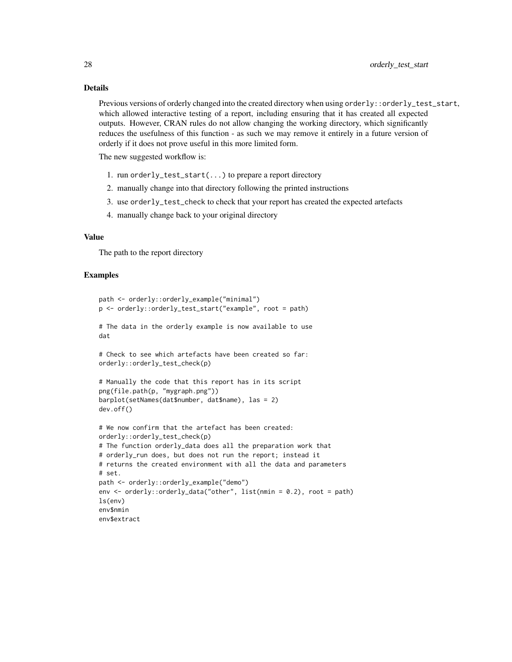## Details

Previous versions of orderly changed into the created directory when using orderly::orderly\_test\_start, which allowed interactive testing of a report, including ensuring that it has created all expected outputs. However, CRAN rules do not allow changing the working directory, which significantly reduces the usefulness of this function - as such we may remove it entirely in a future version of orderly if it does not prove useful in this more limited form.

The new suggested workflow is:

- 1. run orderly\_test\_start(...) to prepare a report directory
- 2. manually change into that directory following the printed instructions
- 3. use orderly\_test\_check to check that your report has created the expected artefacts
- 4. manually change back to your original directory

## Value

The path to the report directory

#### Examples

```
path <- orderly::orderly_example("minimal")
p <- orderly::orderly_test_start("example", root = path)
# The data in the orderly example is now available to use
dat
# Check to see which artefacts have been created so far:
orderly::orderly_test_check(p)
# Manually the code that this report has in its script
png(file.path(p, "mygraph.png"))
barplot(setNames(dat$number, dat$name), las = 2)
dev.off()
# We now confirm that the artefact has been created:
orderly::orderly_test_check(p)
# The function orderly_data does all the preparation work that
# orderly_run does, but does not run the report; instead it
# returns the created environment with all the data and parameters
# set.
path <- orderly::orderly_example("demo")
env <- orderly::orderly_data("other", list(nmin = 0.2), root = path)
ls(env)
env$nmin
env$extract
```